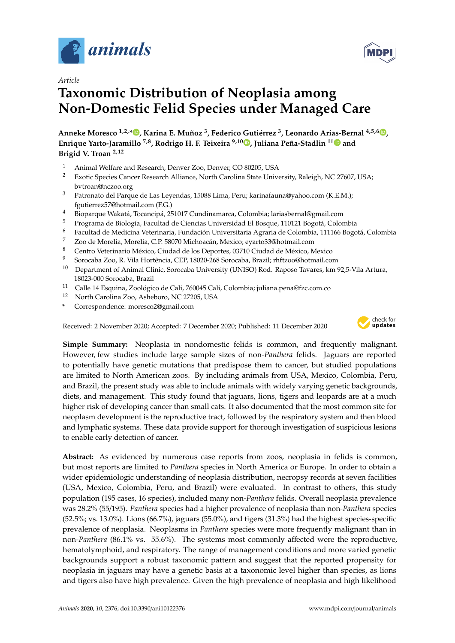



# **Taxonomic Distribution of Neoplasia among Non-Domestic Felid Species under Managed Care**

**Anneke Moresco 1,2,\* [,](https://orcid.org/0000-0002-1525-1166) Karina E. Muñoz <sup>3</sup> , Federico Gutiérrez <sup>3</sup> , Leonardo Arias-Bernal 4,5,6 [,](https://orcid.org/0000-0003-1918-6194) Enrique Yarto-Jaramillo 7,8, Rodrigo H. F. Teixeira 9,10 [,](https://orcid.org/0000-0001-8219-0845) Juliana Peña-Stadlin 1[1](https://orcid.org/0000-0003-2196-4207) and Brigid V. Troan 2,12**

- 1 Animal Welfare and Research, Denver Zoo, Denver, CO 80205, USA<br>2 Exotic Species Cancer Research Alliance, North Carolina State Univers
- <sup>2</sup> Exotic Species Cancer Research Alliance, North Carolina State University, Raleigh, NC 27607, USA; bvtroan@nczoo.org
- <sup>3</sup> Patronato del Parque de Las Leyendas, 15088 Lima, Peru; karinafauna@yahoo.com (K.E.M.); fgutierrez57@hotmail.com (F.G.)
- <sup>4</sup> Bioparque Wakatá, Tocancipá, 251017 Cundinamarca, Colombia; lariasbernal@gmail.com
- <sup>5</sup> Programa de Biología, Facultad de Ciencias Universidad El Bosque, 110121 Bogotá, Colombia
- <sup>6</sup> Facultad de Medicina Veterinaria, Fundación Universitaria Agraria de Colombia, 111166 Bogotá, Colombia
- $\frac{7}{8}$  Zoo de Morelia, Morelia, C.P. 58070 Michoacán, Mexico; eyarto33@hotmail.com
- <sup>8</sup> Centro Veterinario México, Ciudad de los Deportes, 03710 Ciudad de México, Mexico
- <sup>9</sup> Sorocaba Zoo, R. Vila Hortência, CEP, 18020-268 Sorocaba, Brazil; rhftzoo@hotmail.com
- $10$  Department of Animal Clinic, Sorocaba University (UNISO) Rod. Raposo Tavares, km 92,5-Vila Artura, 18023-000 Sorocaba, Brazil
- <sup>11</sup> Calle 14 Esquina, Zoológico de Cali, 760045 Cali, Colombia; juliana.pena@fzc.com.co
- <sup>12</sup> North Carolina Zoo, Asheboro, NC 27205, USA
- **\*** Correspondence: moresco2@gmail.com

Received: 2 November 2020; Accepted: 7 December 2020; Published: 11 December 2020



**Simple Summary:** Neoplasia in nondomestic felids is common, and frequently malignant. However, few studies include large sample sizes of non-*Panthera* felids. Jaguars are reported to potentially have genetic mutations that predispose them to cancer, but studied populations are limited to North American zoos. By including animals from USA, Mexico, Colombia, Peru, and Brazil, the present study was able to include animals with widely varying genetic backgrounds, diets, and management. This study found that jaguars, lions, tigers and leopards are at a much higher risk of developing cancer than small cats. It also documented that the most common site for neoplasm development is the reproductive tract, followed by the respiratory system and then blood and lymphatic systems. These data provide support for thorough investigation of suspicious lesions to enable early detection of cancer.

**Abstract:** As evidenced by numerous case reports from zoos, neoplasia in felids is common, but most reports are limited to *Panthera* species in North America or Europe. In order to obtain a wider epidemiologic understanding of neoplasia distribution, necropsy records at seven facilities (USA, Mexico, Colombia, Peru, and Brazil) were evaluated. In contrast to others, this study population (195 cases, 16 species), included many non-*Panthera* felids. Overall neoplasia prevalence was 28.2% (55/195). *Panthera* species had a higher prevalence of neoplasia than non-*Panthera* species (52.5%; vs. 13.0%). Lions (66.7%), jaguars (55.0%), and tigers (31.3%) had the highest species-specific prevalence of neoplasia. Neoplasms in *Panthera* species were more frequently malignant than in non-*Panthera* (86.1% vs. 55.6%). The systems most commonly affected were the reproductive, hematolymphoid, and respiratory. The range of management conditions and more varied genetic backgrounds support a robust taxonomic pattern and suggest that the reported propensity for neoplasia in jaguars may have a genetic basis at a taxonomic level higher than species, as lions and tigers also have high prevalence. Given the high prevalence of neoplasia and high likelihood

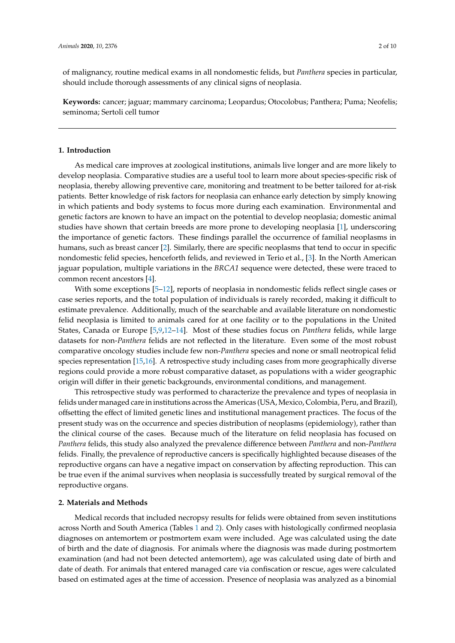of malignancy, routine medical exams in all nondomestic felids, but *Panthera* species in particular, should include thorough assessments of any clinical signs of neoplasia.

**Keywords:** cancer; jaguar; mammary carcinoma; Leopardus; Otocolobus; Panthera; Puma; Neofelis; seminoma; Sertoli cell tumor

## **1. Introduction**

As medical care improves at zoological institutions, animals live longer and are more likely to develop neoplasia. Comparative studies are a useful tool to learn more about species-specific risk of neoplasia, thereby allowing preventive care, monitoring and treatment to be better tailored for at-risk patients. Better knowledge of risk factors for neoplasia can enhance early detection by simply knowing in which patients and body systems to focus more during each examination. Environmental and genetic factors are known to have an impact on the potential to develop neoplasia; domestic animal studies have shown that certain breeds are more prone to developing neoplasia [\[1\]](#page-7-0), underscoring the importance of genetic factors. These findings parallel the occurrence of familial neoplasms in humans, such as breast cancer [\[2\]](#page-7-1). Similarly, there are specific neoplasms that tend to occur in specific nondomestic felid species, henceforth felids, and reviewed in Terio et al., [\[3\]](#page-7-2). In the North American jaguar population, multiple variations in the *BRCA1* sequence were detected, these were traced to common recent ancestors [\[4\]](#page-7-3).

With some exceptions [\[5–](#page-7-4)[12\]](#page-8-0), reports of neoplasia in nondomestic felids reflect single cases or case series reports, and the total population of individuals is rarely recorded, making it difficult to estimate prevalence. Additionally, much of the searchable and available literature on nondomestic felid neoplasia is limited to animals cared for at one facility or to the populations in the United States, Canada or Europe [\[5](#page-7-4)[,9](#page-7-5)[,12–](#page-8-0)[14\]](#page-8-1). Most of these studies focus on *Panthera* felids, while large datasets for non-*Panthera* felids are not reflected in the literature. Even some of the most robust comparative oncology studies include few non-*Panthera* species and none or small neotropical felid species representation [\[15](#page-8-2)[,16\]](#page-8-3). A retrospective study including cases from more geographically diverse regions could provide a more robust comparative dataset, as populations with a wider geographic origin will differ in their genetic backgrounds, environmental conditions, and management.

This retrospective study was performed to characterize the prevalence and types of neoplasia in felids under managed care in institutions across the Americas (USA, Mexico, Colombia, Peru, and Brazil), offsetting the effect of limited genetic lines and institutional management practices. The focus of the present study was on the occurrence and species distribution of neoplasms (epidemiology), rather than the clinical course of the cases. Because much of the literature on felid neoplasia has focused on *Panthera* felids, this study also analyzed the prevalence difference between *Panthera* and non-*Panthera* felids. Finally, the prevalence of reproductive cancers is specifically highlighted because diseases of the reproductive organs can have a negative impact on conservation by affecting reproduction. This can be true even if the animal survives when neoplasia is successfully treated by surgical removal of the reproductive organs.

#### **2. Materials and Methods**

Medical records that included necropsy results for felids were obtained from seven institutions across North and South America (Tables [1](#page-2-0) and [2\)](#page-2-1). Only cases with histologically confirmed neoplasia diagnoses on antemortem or postmortem exam were included. Age was calculated using the date of birth and the date of diagnosis. For animals where the diagnosis was made during postmortem examination (and had not been detected antemortem), age was calculated using date of birth and date of death. For animals that entered managed care via confiscation or rescue, ages were calculated based on estimated ages at the time of accession. Presence of neoplasia was analyzed as a binomial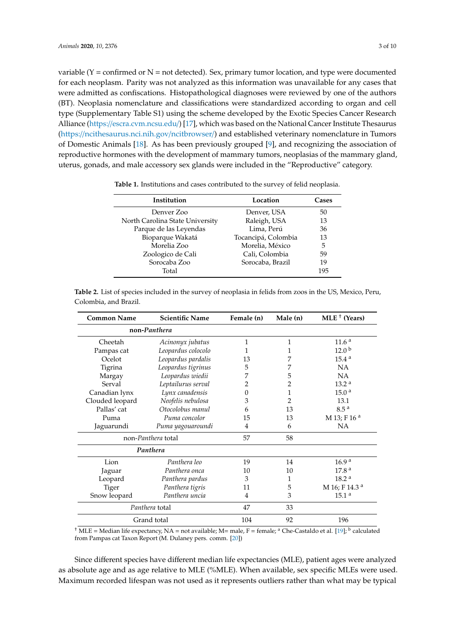variable ( $Y =$  confirmed or  $N =$  not detected). Sex, primary tumor location, and type were documented for each neoplasm. Parity was not analyzed as this information was unavailable for any cases that were admitted as confiscations. Histopathological diagnoses were reviewed by one of the authors (BT). Neoplasia nomenclature and classifications were standardized according to organ and cell type (Supplementary Table S1) using the scheme developed by the Exotic Species Cancer Research Alliance (https://[escra.cvm.ncsu.edu](https://escra.cvm.ncsu.edu/)/) [\[17\]](#page-8-4), which was based on the National Cancer Institute Thesaurus (https://[ncithesaurus.nci.nih.gov](https://ncithesaurus.nci.nih.gov/ncitbrowser/)/ncitbrowser/) and established veterinary nomenclature in Tumors of Domestic Animals [\[18\]](#page-8-5). As has been previously grouped [\[9\]](#page-7-5), and recognizing the association of reproductive hormones with the development of mammary tumors, neoplasias of the mammary gland, uterus, gonads, and male accessory sex glands were included in the "Reproductive" category.

<span id="page-2-0"></span>

| <b>Table 1.</b> Institutions and cases contributed to the survey of felid neoplasia. |  |  |  |  |
|--------------------------------------------------------------------------------------|--|--|--|--|
|                                                                                      |  |  |  |  |

| Institution                     | Location            | Cases |
|---------------------------------|---------------------|-------|
| Denver Zoo                      | Denver, USA         | 50    |
| North Carolina State University | Raleigh, USA        | 13    |
| Parque de las Leyendas          | Lima, Perú          | 36    |
| Bioparque Wakatá                | Tocancipá, Colombia | 13    |
| Morelia Zoo                     | Morelia, México     | 5     |
| Zoologico de Cali               | Cali, Colombia      | 59    |
| Sorocaba Zoo                    | Sorocaba, Brazil    | 19    |
| Total                           |                     | 195   |

| <b>Common Name</b>             | <b>Scientific Name</b> | Female (n)     | Male (n) | MLE <sup>+</sup> (Years) |
|--------------------------------|------------------------|----------------|----------|--------------------------|
| non-Panthera                   |                        |                |          |                          |
| Cheetah                        | Acinonyx jubatus       | 1              | 1        | 11.6 <sup>a</sup>        |
| Pampas cat                     | Leopardus colocolo     | 1              | 1        | 12.0 <sup>b</sup>        |
| Ocelot                         | Leopardus pardalis     | 13             |          | 15.4 <sup>a</sup>        |
| Tigrina                        | Leopardus tigrinus     | 5              |          | NA                       |
| Margay                         | Leopardus wiedii       | 7              | 5        | NA                       |
| Serval                         | Leptailurus serval     | 2              | 2        | 13.2 <sup>a</sup>        |
| Canadian lynx                  | Lynx canadensis        | $\Omega$       | 1        | 15.0 <sup>a</sup>        |
| Clouded leopard                | Neofelis nebulosa      | 3              | 2        | 13.1                     |
| Pallas' cat                    | Otocolobus manul       | 6              | 13       | 8.5 <sup>a</sup>         |
| Puma                           | Puma concolor          | 15             | 13       | M 13; F 16 <sup>a</sup>  |
| Jaguarundi                     | Puma yagouaroundi      | $\overline{4}$ | 6        | NA                       |
|                                | non-Panthera total     | 57             | 58       |                          |
|                                | Panthera               |                |          |                          |
| Lion                           | Panthera leo           | 19             | 14       | 16.9 <sup>a</sup>        |
| Jaguar                         | Panthera onca          | 10             | 10       | 17.8 <sup>a</sup>        |
| Leopard                        | Panthera pardus        | 3              | 1        | 18.2 <sup>a</sup>        |
| <b>Tiger</b>                   | Panthera tigris<br>11  |                | 5        | M 16; F 14.3 a           |
| Panthera uncia<br>Snow leopard |                        | 4              | 3        | 15.1 <sup>a</sup>        |
|                                | Panthera total         | 47             | 33       |                          |
| Grand total                    | 104                    | 92             | 196      |                          |

<span id="page-2-1"></span>**Table 2.** List of species included in the survey of neoplasia in felids from zoos in the US, Mexico, Peru, Colombia, and Brazil.

<sup>†</sup> MLE = Median life expectancy, NA = not available; M= male, F = female; <sup>a</sup> Che-Castaldo et al. [\[19\]](#page-8-6); <sup>b</sup> calculated from Pampas cat Taxon Report (M. Dulaney pers. comm. [\[20\]](#page-8-7))

Since different species have different median life expectancies (MLE), patient ages were analyzed as absolute age and as age relative to MLE (%MLE). When available, sex specific MLEs were used. Maximum recorded lifespan was not used as it represents outliers rather than what may be typical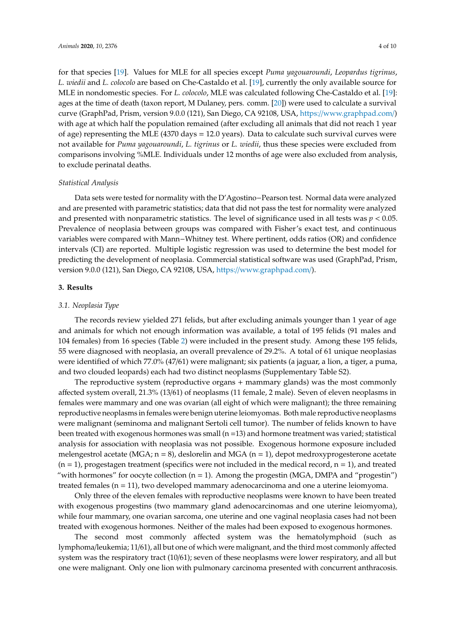for that species [\[19\]](#page-8-6). Values for MLE for all species except *Puma yagouaroundi*, *Leopardus tigrinus*, *L. wiedii* and *L. colocolo* are based on Che-Castaldo et al. [\[19\]](#page-8-6), currently the only available source for MLE in nondomestic species. For *L. colocolo*, MLE was calculated following Che-Castaldo et al. [\[19\]](#page-8-6): ages at the time of death (taxon report, M Dulaney, pers. comm. [\[20\]](#page-8-7)) were used to calculate a survival curve (GraphPad, Prism, version 9.0.0 (121), San Diego, CA 92108, USA, https://[www.graphpad.com](https://www.graphpad.com/)/) with age at which half the population remained (after excluding all animals that did not reach 1 year of age) representing the MLE (4370 days = 12.0 years). Data to calculate such survival curves were not available for *Puma yagouaroundi*, *L. tigrinus* or *L. wiedii*, thus these species were excluded from comparisons involving %MLE. Individuals under 12 months of age were also excluded from analysis, to exclude perinatal deaths.

# *Statistical Analysis*

Data sets were tested for normality with the D'Agostino−Pearson test. Normal data were analyzed and are presented with parametric statistics; data that did not pass the test for normality were analyzed and presented with nonparametric statistics. The level of significance used in all tests was *p* < 0.05. Prevalence of neoplasia between groups was compared with Fisher's exact test, and continuous variables were compared with Mann−Whitney test. Where pertinent, odds ratios (OR) and confidence intervals (CI) are reported. Multiple logistic regression was used to determine the best model for predicting the development of neoplasia. Commercial statistical software was used (GraphPad, Prism, version 9.0.0 (121), San Diego, CA 92108, USA, https://[www.graphpad.com](https://www.graphpad.com/)/).

# **3. Results**

## *3.1. Neoplasia Type*

The records review yielded 271 felids, but after excluding animals younger than 1 year of age and animals for which not enough information was available, a total of 195 felids (91 males and 104 females) from 16 species (Table [2\)](#page-2-1) were included in the present study. Among these 195 felids, 55 were diagnosed with neoplasia, an overall prevalence of 29.2%. A total of 61 unique neoplasias were identified of which 77.0% (47/61) were malignant; six patients (a jaguar, a lion, a tiger, a puma, and two clouded leopards) each had two distinct neoplasms (Supplementary Table S2).

The reproductive system (reproductive organs + mammary glands) was the most commonly affected system overall, 21.3% (13/61) of neoplasms (11 female, 2 male). Seven of eleven neoplasms in females were mammary and one was ovarian (all eight of which were malignant); the three remaining reproductive neoplasms in females were benign uterine leiomyomas. Both male reproductive neoplasms were malignant (seminoma and malignant Sertoli cell tumor). The number of felids known to have been treated with exogenous hormones was small  $(n=13)$  and hormone treatment was varied; statistical analysis for association with neoplasia was not possible. Exogenous hormone exposure included melengestrol acetate (MGA;  $n = 8$ ), deslorelin and MGA ( $n = 1$ ), depot medroxyprogesterone acetate  $(n = 1)$ , progestagen treatment (specifics were not included in the medical record,  $n = 1$ ), and treated "with hormones" for oocyte collection  $(n = 1)$ . Among the progestin (MGA, DMPA and "progestin") treated females (n = 11), two developed mammary adenocarcinoma and one a uterine leiomyoma.

Only three of the eleven females with reproductive neoplasms were known to have been treated with exogenous progestins (two mammary gland adenocarcinomas and one uterine leiomyoma), while four mammary, one ovarian sarcoma, one uterine and one vaginal neoplasia cases had not been treated with exogenous hormones. Neither of the males had been exposed to exogenous hormones.

The second most commonly affected system was the hematolymphoid (such as lymphoma/leukemia; 11/61), all but one of which were malignant, and the third most commonly affected system was the respiratory tract (10/61); seven of these neoplasms were lower respiratory, and all but one were malignant. Only one lion with pulmonary carcinoma presented with concurrent anthracosis.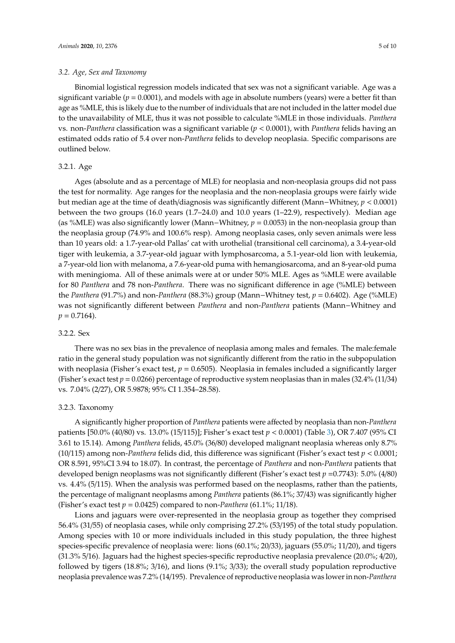### *3.2. Age, Sex and Taxonomy*

Binomial logistical regression models indicated that sex was not a significant variable. Age was a significant variable (*p* = 0.0001), and models with age in absolute numbers (years) were a better fit than age as %MLE, this is likely due to the number of individuals that are not included in the latter model due to the unavailability of MLE, thus it was not possible to calculate %MLE in those individuals. *Panthera* vs. non-*Panthera* classification was a significant variable (*p* < 0.0001), with *Panthera* felids having an estimated odds ratio of 5.4 over non-*Panthera* felids to develop neoplasia. Specific comparisons are outlined below.

# 3.2.1. Age

Ages (absolute and as a percentage of MLE) for neoplasia and non-neoplasia groups did not pass the test for normality. Age ranges for the neoplasia and the non-neoplasia groups were fairly wide but median age at the time of death/diagnosis was significantly different (Mann−Whitney, *p* < 0.0001) between the two groups (16.0 years (1.7–24.0) and 10.0 years (1–22.9), respectively). Median age (as %MLE) was also significantly lower (Mann−Whitney, *p* = 0.0053) in the non-neoplasia group than the neoplasia group (74.9% and 100.6% resp). Among neoplasia cases, only seven animals were less than 10 years old: a 1.7-year-old Pallas' cat with urothelial (transitional cell carcinoma), a 3.4-year-old tiger with leukemia, a 3.7-year-old jaguar with lymphosarcoma, a 5.1-year-old lion with leukemia, a 7-year-old lion with melanoma, a 7.6-year-old puma with hemangiosarcoma, and an 8-year-old puma with meningioma. All of these animals were at or under 50% MLE. Ages as %MLE were available for 80 *Panthera* and 78 non-*Panthera*. There was no significant difference in age (%MLE) between the *Panthera* (91.7%) and non-*Panthera* (88.3%) group (Mann−Whitney test, *p* = 0.6402). Age (%MLE) was not significantly different between *Panthera* and non-*Panthera* patients (Mann−Whitney and  $p = 0.7164$ .

#### 3.2.2. Sex

There was no sex bias in the prevalence of neoplasia among males and females. The male:female ratio in the general study population was not significantly different from the ratio in the subpopulation with neoplasia (Fisher's exact test,  $p = 0.6505$ ). Neoplasia in females included a significantly larger (Fisher's exact test  $p = 0.0266$ ) percentage of reproductive system neoplasias than in males (32.4% (11/34) vs. 7.04% (2/27), OR 5.9878; 95% CI 1.354–28.58).

#### 3.2.3. Taxonomy

A significantly higher proportion of *Panthera* patients were affected by neoplasia than non-*Panthera* patients [50.0% (40/80) vs. 13.0% (15/115)]; Fisher's exact test *p* < 0.0001) (Table [3\)](#page-5-0), OR 7.407 (95% CI 3.61 to 15.14). Among *Panthera* felids, 45.0% (36/80) developed malignant neoplasia whereas only 8.7% (10/115) among non-*Panthera* felids did, this difference was significant (Fisher's exact test *p* < 0.0001; OR 8.591, 95%CI 3.94 to 18.07). In contrast, the percentage of *Panthera* and non-*Panthera* patients that developed benign neoplasms was not significantly different (Fisher's exact test *p* =0.7743): 5.0% (4/80) vs. 4.4% (5/115). When the analysis was performed based on the neoplasms, rather than the patients, the percentage of malignant neoplasms among *Panthera* patients (86.1%; 37/43) was significantly higher (Fisher's exact test  $p = 0.0425$ ) compared to non-*Panthera* (61.1%; 11/18).

Lions and jaguars were over-represented in the neoplasia group as together they comprised 56.4% (31/55) of neoplasia cases, while only comprising 27.2% (53/195) of the total study population. Among species with 10 or more individuals included in this study population, the three highest species-specific prevalence of neoplasia were: lions (60.1%; 20/33), jaguars (55.0%; 11/20), and tigers (31.3% 5/16). Jaguars had the highest species-specific reproductive neoplasia prevalence (20.0%; 4/20), followed by tigers (18.8%; 3/16), and lions (9.1%; 3/33); the overall study population reproductive neoplasia prevalence was 7.2% (14/195). Prevalence of reproductive neoplasia was lower in non-*Panthera*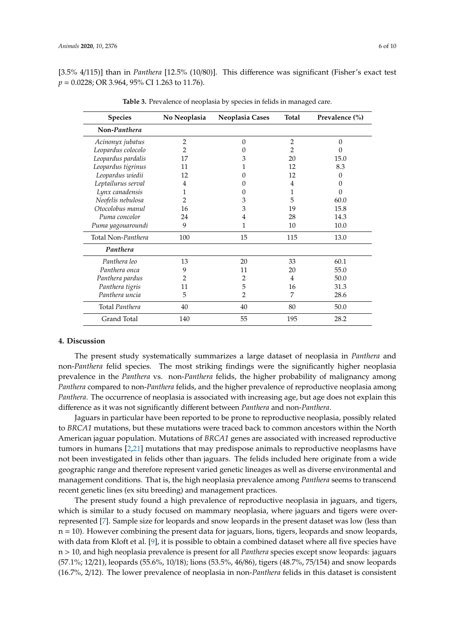<span id="page-5-0"></span>[3.5% 4/115)] than in *Panthera* [12.5% (10/80)]. This difference was significant (Fisher's exact test *p* = 0.0228; OR 3.964, 95% CI 1.263 to 11.76).

| <b>Species</b>     | No Neoplasia   | Neoplasia Cases | <b>Total</b>   | Prevalence (%) |
|--------------------|----------------|-----------------|----------------|----------------|
| Non-Panthera       |                |                 |                |                |
| Acinonyx jubatus   | $\overline{2}$ | $\theta$        | $\overline{2}$ | $\theta$       |
| Leopardus colocolo | 2              | 0               | 2              | 0              |
| Leopardus pardalis | 17             | 3               | 20             | 15.0           |
| Leopardus tigrinus | 11             |                 | 12             | 8.3            |
| Leopardus wiedii   | 12             | $\mathbf{0}$    | 12             | $\Omega$       |
| Leptailurus serval | 4              |                 | 4              | 0              |
| Lynx canadensis    | 1              | 0               | 1              | $\theta$       |
| Neofelis nebulosa  | 2              | 3               | 5              | 60.0           |
| Otocolobus manul   | 16             | 3               | 19             | 15.8           |
| Puma concolor      | 24             | 4               | 28             | 14.3           |
| Puma yagouaroundi  | 9              | 1               | 10             | 10.0           |
| Total Non-Panthera | 100            | 15              | 115            | 13.0           |
| Panthera           |                |                 |                |                |
| Panthera leo       | 13             | 20              | 33             | 60.1           |
| Panthera onca      | 9              | 11              | 20             | 55.0           |
| Panthera pardus    | 2              | 2               | 4              | 50.0           |
| Panthera tigris    | 11             | 5               | 16             | 31.3           |
| Panthera uncia     | 5              | $\overline{2}$  | 7              | 28.6           |
| Total Panthera     | 40             | 40              | 80             | 50.0           |
| Grand Total        | 140            | 55              | 195            | 28.2           |

**Table 3.** Prevalence of neoplasia by species in felids in managed care.

#### **4. Discussion**

The present study systematically summarizes a large dataset of neoplasia in *Panthera* and non-*Panthera* felid species. The most striking findings were the significantly higher neoplasia prevalence in the *Panthera* vs. non-*Panthera* felids, the higher probability of malignancy among *Panthera* compared to non-*Panthera* felids, and the higher prevalence of reproductive neoplasia among *Panthera*. The occurrence of neoplasia is associated with increasing age, but age does not explain this difference as it was not significantly different between *Panthera* and non-*Panthera*.

Jaguars in particular have been reported to be prone to reproductive neoplasia, possibly related to *BRCA1* mutations, but these mutations were traced back to common ancestors within the North American jaguar population. Mutations of *BRCA1* genes are associated with increased reproductive tumors in humans [\[2,](#page-7-1)[21\]](#page-8-8) mutations that may predispose animals to reproductive neoplasms have not been investigated in felids other than jaguars. The felids included here originate from a wide geographic range and therefore represent varied genetic lineages as well as diverse environmental and management conditions. That is, the high neoplasia prevalence among *Panthera* seems to transcend recent genetic lines (ex situ breeding) and management practices.

The present study found a high prevalence of reproductive neoplasia in jaguars, and tigers, which is similar to a study focused on mammary neoplasia, where jaguars and tigers were overrepresented [\[7\]](#page-7-6). Sample size for leopards and snow leopards in the present dataset was low (less than  $n = 10$ ). However combining the present data for jaguars, lions, tigers, leopards and snow leopards, with data from Kloft et al. [\[9\]](#page-7-5), it is possible to obtain a combined dataset where all five species have n > 10, and high neoplasia prevalence is present for all *Panthera* species except snow leopards: jaguars (57.1%; 12/21), leopards (55.6%, 10/18); lions (53.5%, 46/86), tigers (48.7%, 75/154) and snow leopards (16.7%, 2/12). The lower prevalence of neoplasia in non-*Panthera* felids in this dataset is consistent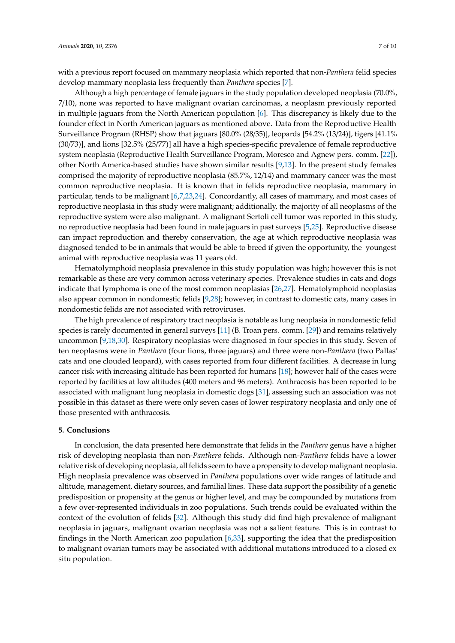with a previous report focused on mammary neoplasia which reported that non-*Panthera* felid species develop mammary neoplasia less frequently than *Panthera* species [\[7\]](#page-7-6).

Although a high percentage of female jaguars in the study population developed neoplasia (70.0%, 7/10), none was reported to have malignant ovarian carcinomas, a neoplasm previously reported in multiple jaguars from the North American population [\[6\]](#page-7-7). This discrepancy is likely due to the founder effect in North American jaguars as mentioned above. Data from the Reproductive Health Surveillance Program (RHSP) show that jaguars [80.0% (28/35)], leopards [54.2% (13/24)], tigers [41.1% (30/73)], and lions [32.5% (25/77)] all have a high species-specific prevalence of female reproductive system neoplasia (Reproductive Health Surveillance Program, Moresco and Agnew pers. comm. [\[22\]](#page-8-9)), other North America-based studies have shown similar results [\[9](#page-7-5)[,13\]](#page-8-10). In the present study females comprised the majority of reproductive neoplasia (85.7%, 12/14) and mammary cancer was the most common reproductive neoplasia. It is known that in felids reproductive neoplasia, mammary in particular, tends to be malignant [\[6,](#page-7-7)[7](#page-7-6)[,23](#page-8-11)[,24\]](#page-8-12). Concordantly, all cases of mammary, and most cases of reproductive neoplasia in this study were malignant; additionally, the majority of all neoplasms of the reproductive system were also malignant. A malignant Sertoli cell tumor was reported in this study, no reproductive neoplasia had been found in male jaguars in past surveys [\[5](#page-7-4)[,25\]](#page-8-13). Reproductive disease can impact reproduction and thereby conservation, the age at which reproductive neoplasia was diagnosed tended to be in animals that would be able to breed if given the opportunity, the youngest animal with reproductive neoplasia was 11 years old.

Hematolymphoid neoplasia prevalence in this study population was high; however this is not remarkable as these are very common across veterinary species. Prevalence studies in cats and dogs indicate that lymphoma is one of the most common neoplasias [\[26](#page-8-14)[,27\]](#page-8-15). Hematolymphoid neoplasias also appear common in nondomestic felids [\[9,](#page-7-5)[28\]](#page-8-16); however, in contrast to domestic cats, many cases in nondomestic felids are not associated with retroviruses.

The high prevalence of respiratory tract neoplasia is notable as lung neoplasia in nondomestic felid species is rarely documented in general surveys [\[11\]](#page-8-17) (B. Troan pers. comm. [\[29\]](#page-8-18)) and remains relatively uncommon [\[9](#page-7-5)[,18](#page-8-5)[,30\]](#page-8-19). Respiratory neoplasias were diagnosed in four species in this study. Seven of ten neoplasms were in *Panthera* (four lions, three jaguars) and three were non-*Panthera* (two Pallas' cats and one clouded leopard), with cases reported from four different facilities. A decrease in lung cancer risk with increasing altitude has been reported for humans [\[18\]](#page-8-5); however half of the cases were reported by facilities at low altitudes (400 meters and 96 meters). Anthracosis has been reported to be associated with malignant lung neoplasia in domestic dogs [\[31\]](#page-8-20), assessing such an association was not possible in this dataset as there were only seven cases of lower respiratory neoplasia and only one of those presented with anthracosis.

## **5. Conclusions**

In conclusion, the data presented here demonstrate that felids in the *Panthera* genus have a higher risk of developing neoplasia than non-*Panthera* felids. Although non-*Panthera* felids have a lower relative risk of developing neoplasia, all felids seem to have a propensity to develop malignant neoplasia. High neoplasia prevalence was observed in *Panthera* populations over wide ranges of latitude and altitude, management, dietary sources, and familial lines. These data support the possibility of a genetic predisposition or propensity at the genus or higher level, and may be compounded by mutations from a few over-represented individuals in zoo populations. Such trends could be evaluated within the context of the evolution of felids [\[32\]](#page-8-21). Although this study did find high prevalence of malignant neoplasia in jaguars, malignant ovarian neoplasia was not a salient feature. This is in contrast to findings in the North American zoo population [\[6](#page-7-7)[,33\]](#page-8-22), supporting the idea that the predisposition to malignant ovarian tumors may be associated with additional mutations introduced to a closed ex situ population.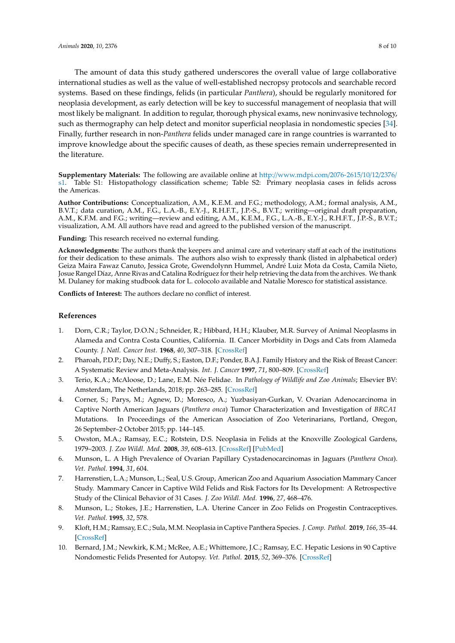The amount of data this study gathered underscores the overall value of large collaborative international studies as well as the value of well-established necropsy protocols and searchable record systems. Based on these findings, felids (in particular *Panthera*), should be regularly monitored for neoplasia development, as early detection will be key to successful management of neoplasia that will most likely be malignant. In addition to regular, thorough physical exams, new noninvasive technology, such as thermography can help detect and monitor superficial neoplasia in nondomestic species [\[34\]](#page-9-0). Finally, further research in non-*Panthera* felids under managed care in range countries is warranted to improve knowledge about the specific causes of death, as these species remain underrepresented in the literature.

**Supplementary Materials:** The following are available online at http://[www.mdpi.com](http://www.mdpi.com/2076-2615/10/12/2376/s1)/2076-2615/10/12/2376/ [s1.](http://www.mdpi.com/2076-2615/10/12/2376/s1) Table S1: Histopathology classification scheme; Table S2: Primary neoplasia cases in felids across the Americas.

**Author Contributions:** Conceptualization, A.M., K.E.M. and F.G.; methodology, A.M.; formal analysis, A.M., B.V.T.; data curation, A.M., F.G., L.A.-B., E.Y.-J., R.H.F.T., J.P.-S., B.V.T.; writing—original draft preparation, A.M., K.F.M. and F.G.; writing—review and editing, A.M., K.E.M., F.G., L.A.-B., E.Y.-J., R.H.F.T., J.P.-S., B.V.T.; visualization, A.M. All authors have read and agreed to the published version of the manuscript.

**Funding:** This research received no external funding.

**Acknowledgments:** The authors thank the keepers and animal care and veterinary staff at each of the institutions for their dedication to these animals. The authors also wish to expressly thank (listed in alphabetical order) Geiza Maira Fawaz Canuto, Jessica Grote, Gwendolynn Hummel, André Luiz Mota da Costa, Camila Nieto, Josue Rangel Díaz, Anne Rivas and Catalina Rodríguez for their help retrieving the data from the archives. We thank M. Dulaney for making studbook data for L. colocolo available and Natalie Moresco for statistical assistance.

**Conflicts of Interest:** The authors declare no conflict of interest.

# **References**

- <span id="page-7-0"></span>1. Dorn, C.R.; Taylor, D.O.N.; Schneider, R.; Hibbard, H.H.; Klauber, M.R. Survey of Animal Neoplasms in Alameda and Contra Costa Counties, California. II. Cancer Morbidity in Dogs and Cats from Alameda County. *J. Natl. Cancer Inst.* **1968**, *40*, 307–318. [\[CrossRef\]](http://dx.doi.org/10.1093/jnci/40.2.307)
- <span id="page-7-1"></span>2. Pharoah, P.D.P.; Day, N.E.; Duffy, S.; Easton, D.F.; Ponder, B.A.J. Family History and the Risk of Breast Cancer: A Systematic Review and Meta-Analysis. *Int. J. Cancer* **1997**, *71*, 800–809. [\[CrossRef\]](http://dx.doi.org/10.1002/(SICI)1097-0215(19970529)71:5<800::AID-IJC18>3.0.CO;2-B)
- <span id="page-7-2"></span>3. Terio, K.A.; McAloose, D.; Lane, E.M. Née Felidae. In *Pathology of Wildlife and Zoo Animals*; Elsevier BV: Amsterdam, The Netherlands, 2018; pp. 263–285. [\[CrossRef\]](http://dx.doi.org/10.1016/B978-0-12-805306-5.00010-9)
- <span id="page-7-3"></span>4. Corner, S.; Parys, M.; Agnew, D.; Moresco, A.; Yuzbasiyan-Gurkan, V. Ovarian Adenocarcinoma in Captive North American Jaguars (*Panthera onca*) Tumor Characterization and Investigation of *BRCA1* Mutations. In Proceedings of the American Association of Zoo Veterinarians, Portland, Oregon, 26 September–2 October 2015; pp. 144–145.
- <span id="page-7-4"></span>5. Owston, M.A.; Ramsay, E.C.; Rotstein, D.S. Neoplasia in Felids at the Knoxville Zoological Gardens, 1979–2003. *J. Zoo Wildl. Med.* **2008**, *39*, 608–613. [\[CrossRef\]](http://dx.doi.org/10.1638/2008-068.1) [\[PubMed\]](http://www.ncbi.nlm.nih.gov/pubmed/19110704)
- <span id="page-7-7"></span>6. Munson, L. A High Prevalence of Ovarian Papillary Cystadenocarcinomas in Jaguars (*Panthera Onca*). *Vet. Pathol.* **1994**, *31*, 604.
- <span id="page-7-6"></span>7. Harrenstien, L.A.; Munson, L.; Seal, U.S. Group, American Zoo and Aquarium Association Mammary Cancer Study. Mammary Cancer in Captive Wild Felids and Risk Factors for Its Development: A Retrospective Study of the Clinical Behavior of 31 Cases. *J. Zoo Wildl. Med.* **1996**, *27*, 468–476.
- 8. Munson, L.; Stokes, J.E.; Harrenstien, L.A. Uterine Cancer in Zoo Felids on Progestin Contraceptives. *Vet. Pathol.* **1995**, *32*, 578.
- <span id="page-7-5"></span>9. Kloft, H.M.; Ramsay, E.C.; Sula, M.M. Neoplasia in Captive Panthera Species. *J. Comp. Pathol.* **2019**, *166*, 35–44. [\[CrossRef\]](http://dx.doi.org/10.1016/j.jcpa.2018.10.178)
- 10. Bernard, J.M.; Newkirk, K.M.; McRee, A.E.; Whittemore, J.C.; Ramsay, E.C. Hepatic Lesions in 90 Captive Nondomestic Felids Presented for Autopsy. *Vet. Pathol.* **2015**, *52*, 369–376. [\[CrossRef\]](http://dx.doi.org/10.1177/0300985814532822)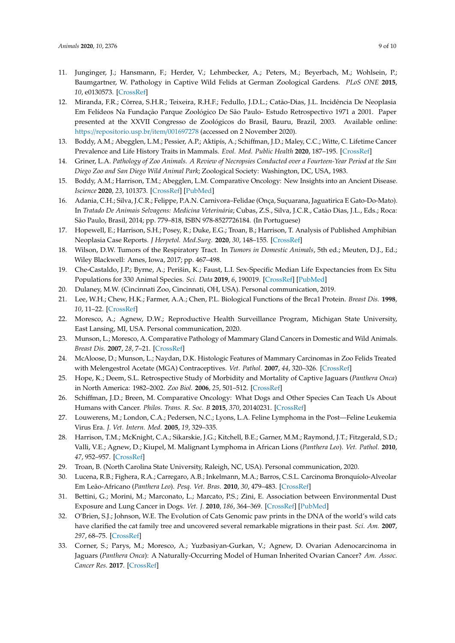- <span id="page-8-17"></span>11. Junginger, J.; Hansmann, F.; Herder, V.; Lehmbecker, A.; Peters, M.; Beyerbach, M.; Wohlsein, P.; Baumgartner, W. Pathology in Captive Wild Felids at German Zoological Gardens. *PLoS ONE* **2015**, *10*, e0130573. [\[CrossRef\]](http://dx.doi.org/10.1371/journal.pone.0130573)
- <span id="page-8-0"></span>12. Miranda, F.R.; Côrrea, S.H.R.; Teixeira, R.H.F.; Fedullo, J.D.L.; Catão-Dias, J.L. Incidência De Neoplasia Em Felídeos Na Fundação Parque Zoológico De São Paulo- Estudo Retrospectivo 1971 a 2001. Paper presented at the XXVII Congresso de Zoológicos do Brasil, Bauru, Brazil, 2003. Available online: https://[repositorio.usp.br](https://repositorio.usp.br/item/001697278)/item/001697278 (accessed on 2 November 2020).
- <span id="page-8-10"></span>13. Boddy, A.M.; Abegglen, L.M.; Pessier, A.P.; Aktipis, A.; Schiffman, J.D.; Maley, C.C.; Witte, C. Lifetime Cancer Prevalence and Life History Traits in Mammals. *Evol. Med. Public Health* **2020**, 187–195. [\[CrossRef\]](http://dx.doi.org/10.1093/emph/eoaa015)
- <span id="page-8-1"></span>14. Griner, L.A. *Pathology of Zoo Animals. A Review of Necropsies Conducted over a Fourteen-Year Period at the San Diego Zoo and San Diego Wild Animal Park*; Zoological Society: Washington, DC, USA, 1983.
- <span id="page-8-2"></span>15. Boddy, A.M.; Harrison, T.M.; Abegglen, L.M. Comparative Oncology: New Insights into an Ancient Disease. *Iscience* **2020**, *23*, 101373. [\[CrossRef\]](http://dx.doi.org/10.1016/j.isci.2020.101373) [\[PubMed\]](http://www.ncbi.nlm.nih.gov/pubmed/32738614)
- <span id="page-8-3"></span>16. Adania, C.H.; Silva, J.C.R.; Felippe, P.A.N. Carnivora–Felidae (Onça, Suçuarana, Jaguatirica E Gato-Do-Mato). In *Tratado De Animais Selvagens: Medicina Veterinária*; Cubas, Z.S., Silva, J.C.R., Catão Dias, J.L., Eds.; Roca: São Paulo, Brasil, 2014; pp. 779–818, ISBN 978-8527726184. (In Portuguese)
- <span id="page-8-4"></span>17. Hopewell, E.; Harrison, S.H.; Posey, R.; Duke, E.G.; Troan, B.; Harrison, T. Analysis of Published Amphibian Neoplasia Case Reports. *J Herpetol. Med.Surg.* **2020**, *30*, 148–155. [\[CrossRef\]](http://dx.doi.org/10.5818/19-09-212.1)
- <span id="page-8-5"></span>18. Wilson, D.W. Tumors of the Respiratory Tract. In *Tumors in Domestic Animals*, 5th ed.; Meuten, D.J., Ed.; Wiley Blackwell: Ames, Iowa, 2017; pp. 467–498.
- <span id="page-8-6"></span>19. Che-Castaldo, J.P.; Byrne, A.; Perišin, K.; Faust, L.I. Sex-Specific Median Life Expectancies from Ex Situ Populations for 330 Animal Species. *Sci. Data* **2019**, *6*, 190019. [\[CrossRef\]](http://dx.doi.org/10.1038/sdata.2019.19) [\[PubMed\]](http://www.ncbi.nlm.nih.gov/pubmed/30778256)
- <span id="page-8-7"></span>20. Dulaney, M.W. (Cincinnati Zoo, Cincinnati, OH, USA). Personal communication, 2019.
- <span id="page-8-8"></span>21. Lee, W.H.; Chew, H.K.; Farmer, A.A.; Chen, P.L. Biological Functions of the Brca1 Protein. *Breast Dis.* **1998**, *10*, 11–22. [\[CrossRef\]](http://dx.doi.org/10.3233/BD-1998-101-204)
- <span id="page-8-9"></span>22. Moresco, A.; Agnew, D.W.; Reproductive Health Surveillance Program, Michigan State University, East Lansing, MI, USA. Personal communication, 2020.
- <span id="page-8-11"></span>23. Munson, L.; Moresco, A. Comparative Pathology of Mammary Gland Cancers in Domestic and Wild Animals. *Breast Dis.* **2007**, *28*, 7–21. [\[CrossRef\]](http://dx.doi.org/10.3233/BD-2007-28102)
- <span id="page-8-12"></span>24. McAloose, D.; Munson, L.; Naydan, D.K. Histologic Features of Mammary Carcinomas in Zoo Felids Treated with Melengestrol Acetate (MGA) Contraceptives. *Vet. Pathol.* **2007**, *44*, 320–326. [\[CrossRef\]](http://dx.doi.org/10.1354/vp.44-3-320)
- <span id="page-8-13"></span>25. Hope, K.; Deem, S.L. Retrospective Study of Morbidity and Mortality of Captive Jaguars (*Panthera Onca*) in North America: 1982–2002. *Zoo Biol.* **2006**, *25*, 501–512. [\[CrossRef\]](http://dx.doi.org/10.1002/zoo.20112)
- <span id="page-8-14"></span>26. Schiffman, J.D.; Breen, M. Comparative Oncology: What Dogs and Other Species Can Teach Us About Humans with Cancer. *Philos. Trans. R. Soc. B* **2015**, *370*, 20140231. [\[CrossRef\]](http://dx.doi.org/10.1098/rstb.2014.0231)
- <span id="page-8-15"></span>27. Louwerens, M.; London, C.A.; Pedersen, N.C.; Lyons, L.A. Feline Lymphoma in the Post—Feline Leukemia Virus Era. *J. Vet. Intern. Med.* **2005**, *19*, 329–335.
- <span id="page-8-16"></span>28. Harrison, T.M.; McKnight, C.A.; Sikarskie, J.G.; Kitchell, B.E.; Garner, M.M.; Raymond, J.T.; Fitzgerald, S.D.; Valli, V.E.; Agnew, D.; Kiupel, M. Malignant Lymphoma in African Lions (*Panthera Leo*). *Vet. Pathol.* **2010**, *47*, 952–957. [\[CrossRef\]](http://dx.doi.org/10.1177/0300985810375054)
- <span id="page-8-19"></span><span id="page-8-18"></span>29. Troan, B. (North Carolina State University, Raleigh, NC, USA). Personal communication, 2020.
- 30. Lucena, R.B.; Fighera, R.A.; Carregaro, A.B.; Inkelmann, M.A.; Barros, C.S.L. Carcinoma Bronquíolo-Alveolar Em Leão-Africano (*Panthera Leo*). *Pesq. Vet. Bras.* **2010**, *30*, 479–483. [\[CrossRef\]](http://dx.doi.org/10.1590/S0100-736X2010000600002)
- <span id="page-8-20"></span>31. Bettini, G.; Morini, M.; Marconato, L.; Marcato, P.S.; Zini, E. Association between Environmental Dust Exposure and Lung Cancer in Dogs. *Vet. J.* **2010**, *186*, 364–369. [\[CrossRef\]](http://dx.doi.org/10.1016/j.tvjl.2009.09.004) [\[PubMed\]](http://www.ncbi.nlm.nih.gov/pubmed/20044284)
- <span id="page-8-21"></span>32. O'Brien, S.J.; Johnson, W.E. The Evolution of Cats Genomic paw prints in the DNA of the world's wild cats have clarified the cat family tree and uncovered several remarkable migrations in their past. *Sci. Am.* **2007**, *297*, 68–75. [\[CrossRef\]](http://dx.doi.org/10.1038/scientificamerican0707-68)
- <span id="page-8-22"></span>33. Corner, S.; Parys, M.; Moresco, A.; Yuzbasiyan-Gurkan, V.; Agnew, D. Ovarian Adenocarcinoma in Jaguars (*Panthera Onca*): A Naturally-Occurring Model of Human Inherited Ovarian Cancer? *Am. Assoc. Cancer Res.* **2017**. [\[CrossRef\]](http://dx.doi.org/10.1158/1557-3265.ovcasymp16-tmem-020)